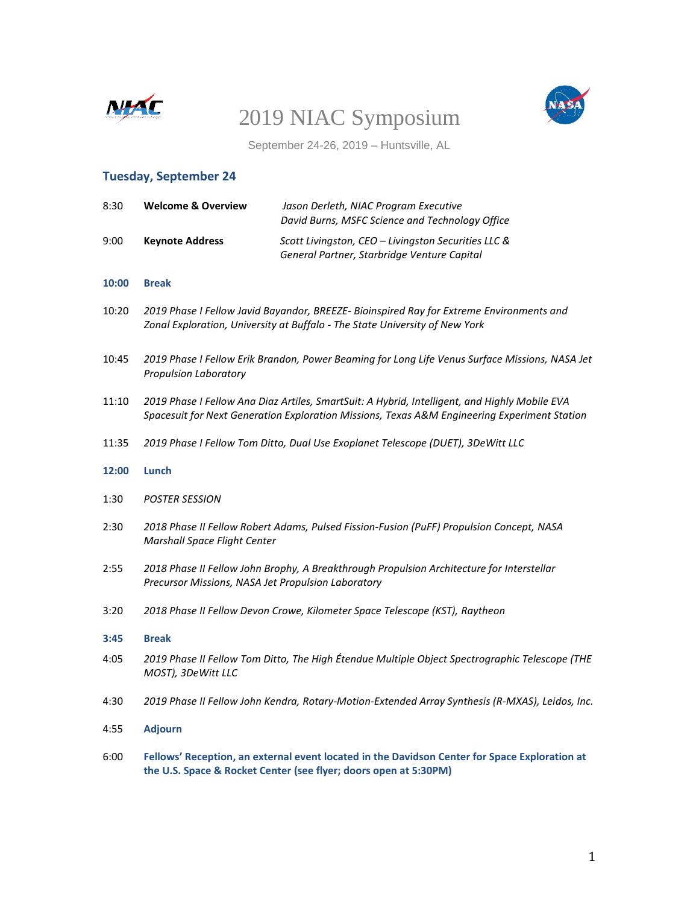



September 24-26, 2019 – Huntsville, AL

# **Tuesday, September 24**

| 8:30  | <b>Welcome &amp; Overview</b>                                                                                                                                                                 | Jason Derleth, NIAC Program Executive<br>David Burns, MSFC Science and Technology Office           |  |
|-------|-----------------------------------------------------------------------------------------------------------------------------------------------------------------------------------------------|----------------------------------------------------------------------------------------------------|--|
| 9:00  | <b>Keynote Address</b>                                                                                                                                                                        | Scott Livingston, CEO - Livingston Securities LLC &<br>General Partner, Starbridge Venture Capital |  |
| 10:00 | <b>Break</b>                                                                                                                                                                                  |                                                                                                    |  |
| 10:20 | 2019 Phase I Fellow Javid Bayandor, BREEZE- Bioinspired Ray for Extreme Environments and<br>Zonal Exploration, University at Buffalo - The State University of New York                       |                                                                                                    |  |
| 10:45 | 2019 Phase I Fellow Erik Brandon, Power Beaming for Long Life Venus Surface Missions, NASA Jet<br><b>Propulsion Laboratory</b>                                                                |                                                                                                    |  |
| 11:10 | 2019 Phase I Fellow Ana Diaz Artiles, SmartSuit: A Hybrid, Intelligent, and Highly Mobile EVA<br>Spacesuit for Next Generation Exploration Missions, Texas A&M Engineering Experiment Station |                                                                                                    |  |
| 11:35 | 2019 Phase I Fellow Tom Ditto, Dual Use Exoplanet Telescope (DUET), 3DeWitt LLC                                                                                                               |                                                                                                    |  |
| 12:00 | Lunch                                                                                                                                                                                         |                                                                                                    |  |
| 1:30  | <b>POSTER SESSION</b>                                                                                                                                                                         |                                                                                                    |  |
| 2:30  | 2018 Phase II Fellow Robert Adams, Pulsed Fission-Fusion (PuFF) Propulsion Concept, NASA<br><b>Marshall Space Flight Center</b>                                                               |                                                                                                    |  |
| 2:55  | Precursor Missions, NASA Jet Propulsion Laboratory                                                                                                                                            | 2018 Phase II Fellow John Brophy, A Breakthrough Propulsion Architecture for Interstellar          |  |
| 3:20  |                                                                                                                                                                                               | 2018 Phase II Fellow Devon Crowe, Kilometer Space Telescope (KST), Raytheon                        |  |
| 3:45  | <b>Break</b>                                                                                                                                                                                  |                                                                                                    |  |
| 4:05  | MOST), 3DeWitt LLC                                                                                                                                                                            | 2019 Phase II Fellow Tom Ditto, The High Étendue Multiple Object Spectrographic Telescope (THE     |  |
| 4:30  |                                                                                                                                                                                               | 2019 Phase II Fellow John Kendra, Rotary-Motion-Extended Array Synthesis (R-MXAS), Leidos, Inc.    |  |
| 4:55  | <b>Adjourn</b>                                                                                                                                                                                |                                                                                                    |  |
| 6:00  | Fellows' Reception, an external event located in the Davidson Center for Space Exploration at<br>the U.S. Space & Rocket Center (see flyer; doors open at 5:30PM)                             |                                                                                                    |  |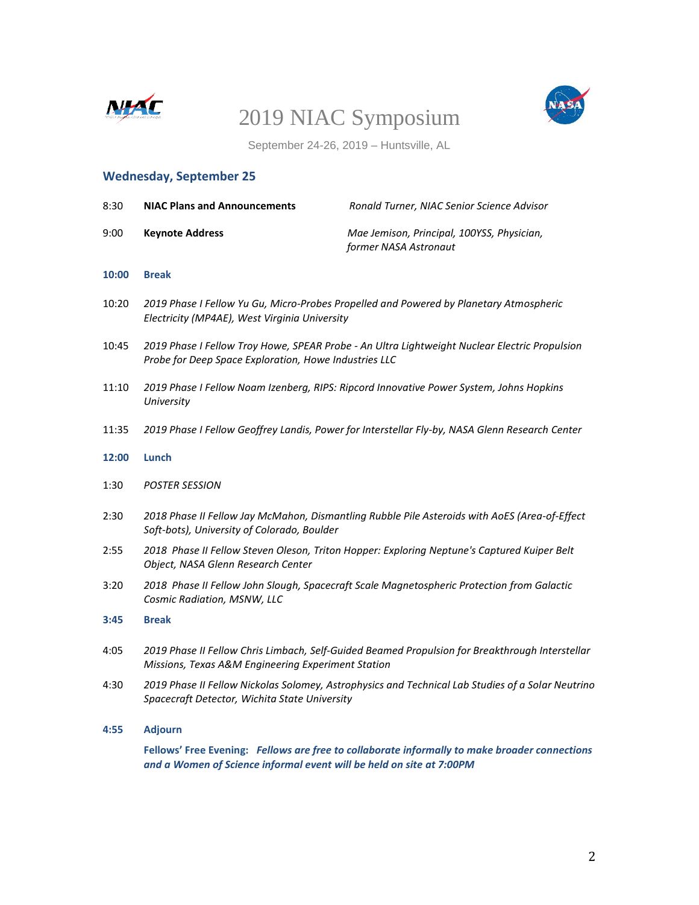



September 24-26, 2019 – Huntsville, AL

# **Wednesday, September 25**

| 8:30  | <b>NIAC Plans and Announcements</b>                                                                                                                    | Ronald Turner, NIAC Senior Science Advisor                                                    |  |
|-------|--------------------------------------------------------------------------------------------------------------------------------------------------------|-----------------------------------------------------------------------------------------------|--|
| 9:00  | <b>Keynote Address</b>                                                                                                                                 | Mae Jemison, Principal, 100YSS, Physician,<br>former NASA Astronaut                           |  |
| 10:00 | <b>Break</b>                                                                                                                                           |                                                                                               |  |
| 10:20 | 2019 Phase I Fellow Yu Gu, Micro-Probes Propelled and Powered by Planetary Atmospheric<br>Electricity (MP4AE), West Virginia University                |                                                                                               |  |
| 10:45 | 2019 Phase I Fellow Troy Howe, SPEAR Probe - An Ultra Lightweight Nuclear Electric Propulsion<br>Probe for Deep Space Exploration, Howe Industries LLC |                                                                                               |  |
| 11:10 | 2019 Phase I Fellow Noam Izenberg, RIPS: Ripcord Innovative Power System, Johns Hopkins<br>University                                                  |                                                                                               |  |
| 11:35 | 2019 Phase I Fellow Geoffrey Landis, Power for Interstellar Fly-by, NASA Glenn Research Center                                                         |                                                                                               |  |
| 12:00 | Lunch                                                                                                                                                  |                                                                                               |  |
| 1:30  | <b>POSTER SESSION</b>                                                                                                                                  |                                                                                               |  |
| 2:30  | 2018 Phase II Fellow Jay McMahon, Dismantling Rubble Pile Asteroids with AoES (Area-of-Effect<br>Soft-bots), University of Colorado, Boulder           |                                                                                               |  |
| 2:55  | 2018 Phase II Fellow Steven Oleson, Triton Hopper: Exploring Neptune's Captured Kuiper Belt<br>Object, NASA Glenn Research Center                      |                                                                                               |  |
| 3:20  | 2018 Phase II Fellow John Slough, Spacecraft Scale Magnetospheric Protection from Galactic<br>Cosmic Radiation, MSNW, LLC                              |                                                                                               |  |
| 3:45  | <b>Break</b>                                                                                                                                           |                                                                                               |  |
| 4:05  | 2019 Phase II Fellow Chris Limbach, Self-Guided Beamed Propulsion for Breakthrough Interstellar<br>Missions, Texas A&M Engineering Experiment Station  |                                                                                               |  |
| 4:30  | 2019 Phase II Fellow Nickolas Solomey, Astrophysics and Technical Lab Studies of a Solar Neutrino<br>Spacecraft Detector, Wichita State University     |                                                                                               |  |
| 4:55  | <b>Adjourn</b>                                                                                                                                         |                                                                                               |  |
|       | and a Women of Science informal event will be held on site at 7:00PM                                                                                   | Fellows' Free Evening: Fellows are free to collaborate informally to make broader connections |  |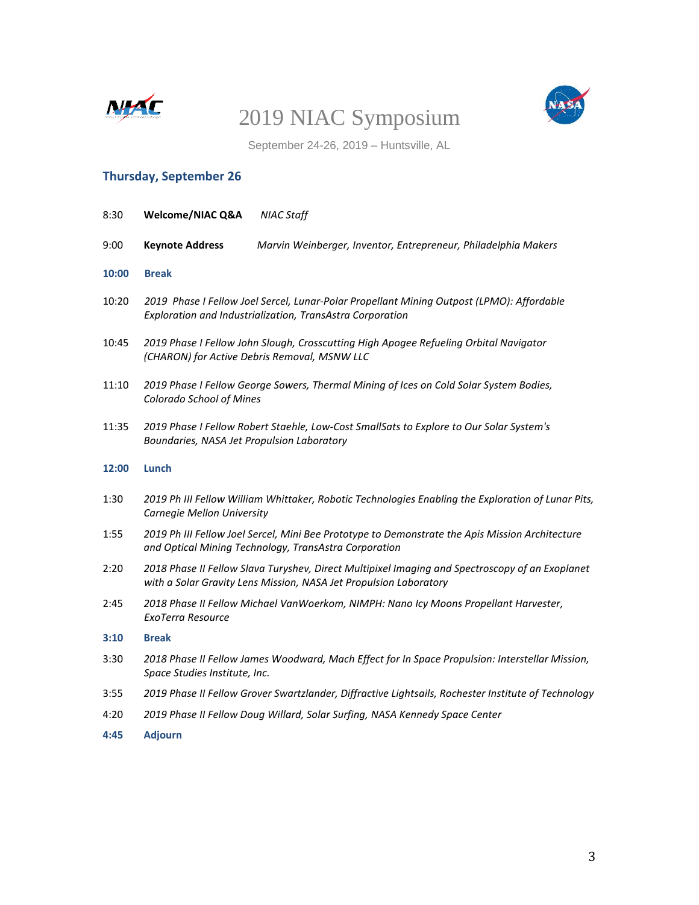



September 24-26, 2019 – Huntsville, AL

# **Thursday, September 26**

| 8:30  | Welcome/NIAC Q&A                                                                                                                                         | <b>NIAC Staff</b>                                                                                                                                                    |
|-------|----------------------------------------------------------------------------------------------------------------------------------------------------------|----------------------------------------------------------------------------------------------------------------------------------------------------------------------|
| 9:00  | <b>Keynote Address</b>                                                                                                                                   | Marvin Weinberger, Inventor, Entrepreneur, Philadelphia Makers                                                                                                       |
| 10:00 | <b>Break</b>                                                                                                                                             |                                                                                                                                                                      |
| 10:20 | 2019 Phase I Fellow Joel Sercel, Lunar-Polar Propellant Mining Outpost (LPMO): Affordable<br>Exploration and Industrialization, TransAstra Corporation   |                                                                                                                                                                      |
| 10:45 | 2019 Phase I Fellow John Slough, Crosscutting High Apogee Refueling Orbital Navigator<br>(CHARON) for Active Debris Removal, MSNW LLC                    |                                                                                                                                                                      |
| 11:10 | 2019 Phase I Fellow George Sowers, Thermal Mining of Ices on Cold Solar System Bodies,<br><b>Colorado School of Mines</b>                                |                                                                                                                                                                      |
| 11:35 | 2019 Phase I Fellow Robert Staehle, Low-Cost SmallSats to Explore to Our Solar System's<br>Boundaries, NASA Jet Propulsion Laboratory                    |                                                                                                                                                                      |
| 12:00 | Lunch                                                                                                                                                    |                                                                                                                                                                      |
| 1:30  | 2019 Ph III Fellow William Whittaker, Robotic Technologies Enabling the Exploration of Lunar Pits,<br>Carnegie Mellon University                         |                                                                                                                                                                      |
| 1:55  | 2019 Ph III Fellow Joel Sercel, Mini Bee Prototype to Demonstrate the Apis Mission Architecture<br>and Optical Mining Technology, TransAstra Corporation |                                                                                                                                                                      |
| 2:20  |                                                                                                                                                          | 2018 Phase II Fellow Slava Turyshev, Direct Multipixel Imaging and Spectroscopy of an Exoplanet<br>with a Solar Gravity Lens Mission, NASA Jet Propulsion Laboratory |
| 2:45  | ExoTerra Resource                                                                                                                                        | 2018 Phase II Fellow Michael VanWoerkom, NIMPH: Nano Icy Moons Propellant Harvester,                                                                                 |
| 3:10  | <b>Break</b>                                                                                                                                             |                                                                                                                                                                      |
| 3:30  | Space Studies Institute, Inc.                                                                                                                            | 2018 Phase II Fellow James Woodward, Mach Effect for In Space Propulsion: Interstellar Mission,                                                                      |
| 3:55  |                                                                                                                                                          | 2019 Phase II Fellow Grover Swartzlander, Diffractive Lightsails, Rochester Institute of Technology                                                                  |
| 4:20  | 2019 Phase II Fellow Doug Willard, Solar Surfing, NASA Kennedy Space Center                                                                              |                                                                                                                                                                      |
| 4:45  | <b>Adjourn</b>                                                                                                                                           |                                                                                                                                                                      |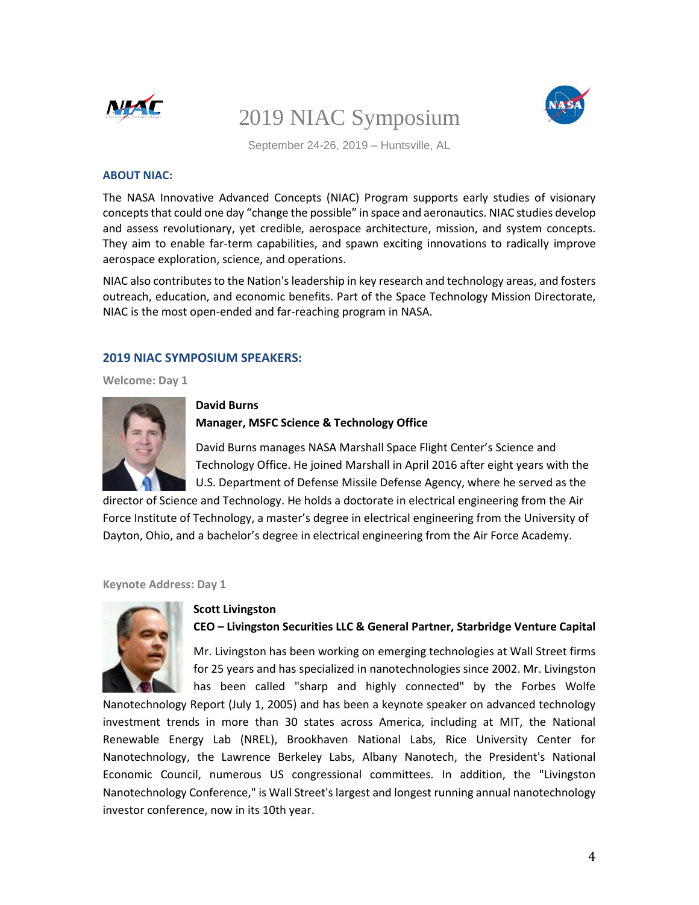



September 24-26, 2019 – Huntsville, AL

#### **ABOUT NIAC:**

The NASA Innovative Advanced Concepts (NIAC) Program supports early studies of visionary concepts that could one day "change the possible" in space and aeronautics. NIAC studies develop and assess revolutionary, yet credible, aerospace architecture, mission, and system concepts. They aim to enable far-term capabilities, and spawn exciting innovations to radically improve aerospace exploration, science, and operations.

NIAC also contributes to the Nation's leadership in key research and technology areas, and fosters outreach, education, and economic benefits. Part of the Space Technology Mission Directorate, NIAC is the most open-ended and far-reaching program in NASA.

#### **2019 NIAC SYMPOSIUM SPEAKERS:**

**Welcome: Day 1**



#### **David Burns Manager, MSFC Science & Technology Office**

David Burns manages NASA Marshall Space Flight Center's Science and Technology Office. He joined Marshall in April 2016 after eight years with the U.S. Department of Defense Missile Defense Agency, where he served as the

director of Science and Technology. He holds a doctorate in electrical engineering from the Air Force Institute of Technology, a master's degree in electrical engineering from the University of Dayton, Ohio, and a bachelor's degree in electrical engineering from the Air Force Academy.

**Keynote Address: Day 1**



### **Scott Livingston CEO – Livingston Securities LLC & General Partner, Starbridge Venture Capital**

Mr. Livingston has been working on emerging technologies at Wall Street firms for 25 years and has specialized in nanotechnologies since 2002. Mr. Livingston has been called "sharp and highly connected" by the Forbes Wolfe

Nanotechnology Report (July 1, 2005) and has been a keynote speaker on advanced technology investment trends in more than 30 states across America, including at MIT, the National Renewable Energy Lab (NREL), Brookhaven National Labs, Rice University Center for Nanotechnology, the Lawrence Berkeley Labs, Albany Nanotech, the President's National Economic Council, numerous US congressional committees. In addition, the "Livingston Nanotechnology Conference," is Wall Street's largest and longest running annual nanotechnology investor conference, now in its 10th year.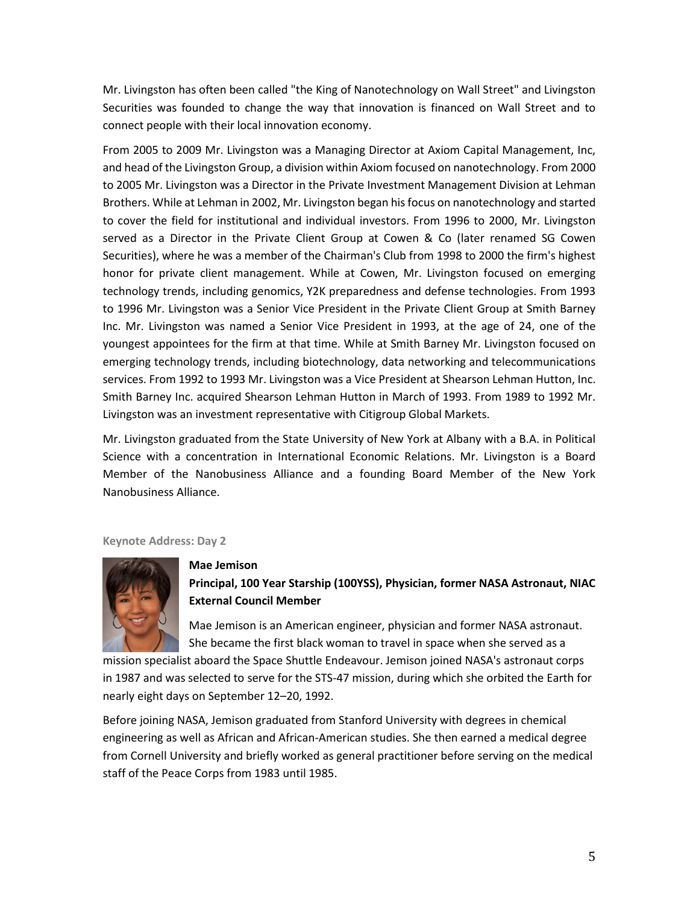Mr. Livingston has often been called "the King of Nanotechnology on Wall Street" and Livingston Securities was founded to change the way that innovation is financed on Wall Street and to connect people with their local innovation economy.

From 2005 to 2009 Mr. Livingston was a Managing Director at Axiom Capital Management, Inc, and head of the Livingston Group, a division within Axiom focused on nanotechnology. From 2000 to 2005 Mr. Livingston was a Director in the Private Investment Management Division at Lehman Brothers. While at Lehman in 2002, Mr. Livingston began his focus on nanotechnology and started to cover the field for institutional and individual investors. From 1996 to 2000, Mr. Livingston served as a Director in the Private Client Group at Cowen & Co (later renamed SG Cowen Securities), where he was a member of the Chairman's Club from 1998 to 2000 the firm's highest honor for private client management. While at Cowen, Mr. Livingston focused on emerging technology trends, including genomics, Y2K preparedness and defense technologies. From 1993 to 1996 Mr. Livingston was a Senior Vice President in the Private Client Group at Smith Barney Inc. Mr. Livingston was named a Senior Vice President in 1993, at the age of 24, one of the youngest appointees for the firm at that time. While at Smith Barney Mr. Livingston focused on emerging technology trends, including biotechnology, data networking and telecommunications services. From 1992 to 1993 Mr. Livingston was a Vice President at Shearson Lehman Hutton, Inc. Smith Barney Inc. acquired Shearson Lehman Hutton in March of 1993. From 1989 to 1992 Mr. Livingston was an investment representative with Citigroup Global Markets.

Mr. Livingston graduated from the State University of New York at Albany with a B.A. in Political Science with a concentration in International Economic Relations. Mr. Livingston is a Board Member of the Nanobusiness Alliance and a founding Board Member of the New York Nanobusiness Alliance.

**Keynote Address: Day 2**



**Mae Jemison Principal, 100 Year Starship (100YSS), Physician, former NASA Astronaut, NIAC External Council Member**

Mae Jemison is an American engineer, physician and former NASA astronaut. She became the first black woman to travel in space when she served as a

mission specialist aboard the Space Shuttle Endeavour. Jemison joined NASA's astronaut corps in 1987 and was selected to serve for the STS-47 mission, during which she orbited the Earth for nearly eight days on September 12–20, 1992.

Before joining NASA, Jemison graduated from Stanford University with degrees in chemical engineering as well as African and African-American studies. She then earned a medical degree from Cornell University and briefly worked as general practitioner before serving on the medical staff of the Peace Corps from 1983 until 1985.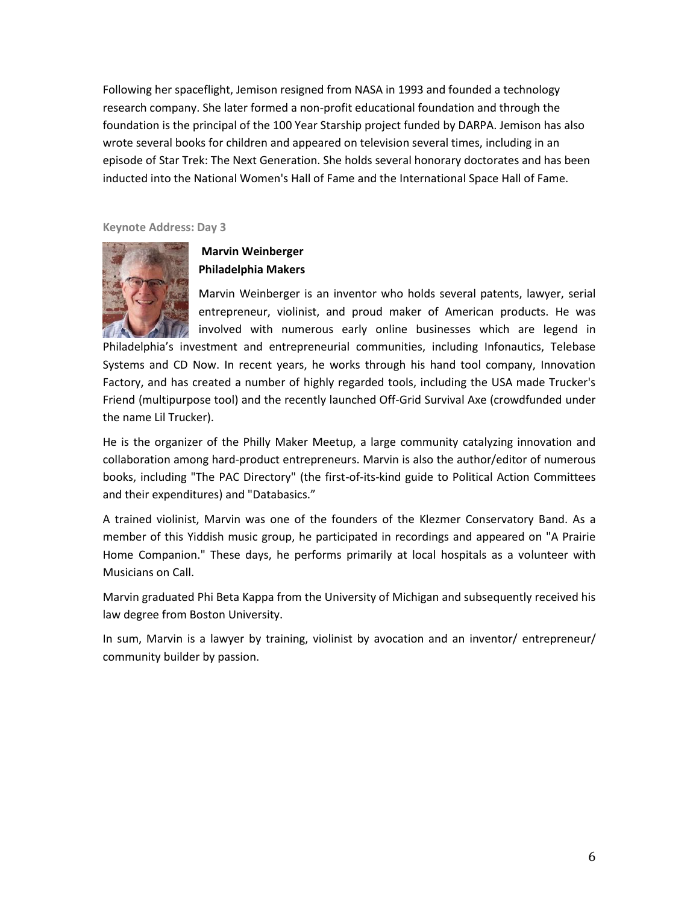Following her spaceflight, Jemison resigned from NASA in 1993 and founded a technology research company. She later formed a non-profit educational foundation and through the foundation is the principal of the 100 Year Starship project funded by DARPA. Jemison has also wrote several books for children and appeared on television several times, including in an episode of Star Trek: The Next Generation. She holds several honorary doctorates and has been inducted into the National Women's Hall of Fame and the International Space Hall of Fame.

**Keynote Address: Day 3**



# **Marvin Weinberger Philadelphia Makers**

Marvin Weinberger is an inventor who holds several patents, lawyer, serial entrepreneur, violinist, and proud maker of American products. He was involved with numerous early online businesses which are legend in

Philadelphia's investment and entrepreneurial communities, including Infonautics, Telebase Systems and CD Now. In recent years, he works through his hand tool company, Innovation Factory, and has created a number of highly regarded tools, including the USA made Trucker's Friend (multipurpose tool) and the recently launched Off-Grid Survival Axe (crowdfunded under the name Lil Trucker).

He is the organizer of the Philly Maker Meetup, a large community catalyzing innovation and collaboration among hard-product entrepreneurs. Marvin is also the author/editor of numerous books, including "The PAC Directory" (the first-of-its-kind guide to Political Action Committees and their expenditures) and "Databasics."

A trained violinist, Marvin was one of the founders of the Klezmer Conservatory Band. As a member of this Yiddish music group, he participated in recordings and appeared on "A Prairie Home Companion." These days, he performs primarily at local hospitals as a volunteer with Musicians on Call.

Marvin graduated Phi Beta Kappa from the University of Michigan and subsequently received his law degree from Boston University.

In sum, Marvin is a lawyer by training, violinist by avocation and an inventor/ entrepreneur/ community builder by passion.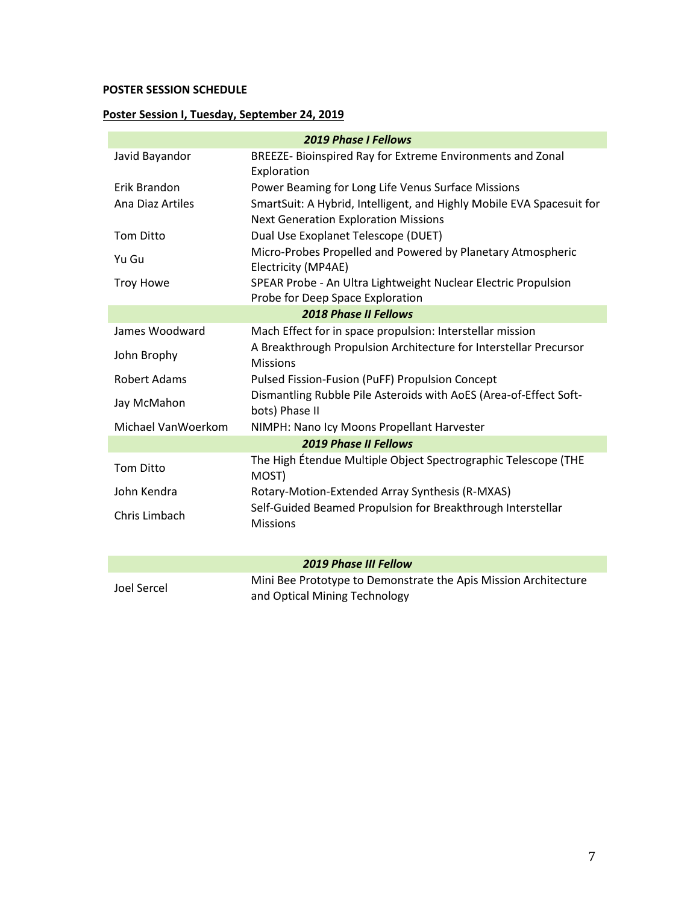# **POSTER SESSION SCHEDULE**

# **Poster Session I, Tuesday, September 24, 2019**

| <b>2019 Phase I Fellows</b>  |                                                                                                                      |  |  |  |
|------------------------------|----------------------------------------------------------------------------------------------------------------------|--|--|--|
| Javid Bayandor               | BREEZE- Bioinspired Ray for Extreme Environments and Zonal<br>Exploration                                            |  |  |  |
| Erik Brandon                 | Power Beaming for Long Life Venus Surface Missions                                                                   |  |  |  |
| Ana Diaz Artiles             | SmartSuit: A Hybrid, Intelligent, and Highly Mobile EVA Spacesuit for<br><b>Next Generation Exploration Missions</b> |  |  |  |
| <b>Tom Ditto</b>             | Dual Use Exoplanet Telescope (DUET)                                                                                  |  |  |  |
| Yu Gu                        | Micro-Probes Propelled and Powered by Planetary Atmospheric<br>Electricity (MP4AE)                                   |  |  |  |
| <b>Troy Howe</b>             | SPEAR Probe - An Ultra Lightweight Nuclear Electric Propulsion<br>Probe for Deep Space Exploration                   |  |  |  |
|                              | <b>2018 Phase II Fellows</b>                                                                                         |  |  |  |
| James Woodward               | Mach Effect for in space propulsion: Interstellar mission                                                            |  |  |  |
| John Brophy                  | A Breakthrough Propulsion Architecture for Interstellar Precursor<br><b>Missions</b>                                 |  |  |  |
| <b>Robert Adams</b>          | Pulsed Fission-Fusion (PuFF) Propulsion Concept                                                                      |  |  |  |
| Jay McMahon                  | Dismantling Rubble Pile Asteroids with AoES (Area-of-Effect Soft-<br>bots) Phase II                                  |  |  |  |
| Michael VanWoerkom           | NIMPH: Nano Icy Moons Propellant Harvester                                                                           |  |  |  |
| <b>2019 Phase II Fellows</b> |                                                                                                                      |  |  |  |
| <b>Tom Ditto</b>             | The High Étendue Multiple Object Spectrographic Telescope (THE<br>MOST)                                              |  |  |  |
| John Kendra                  | Rotary-Motion-Extended Array Synthesis (R-MXAS)                                                                      |  |  |  |
| Chris Limbach                | Self-Guided Beamed Propulsion for Breakthrough Interstellar<br><b>Missions</b>                                       |  |  |  |
|                              |                                                                                                                      |  |  |  |
| <b>2019 Phase III Fellow</b> |                                                                                                                      |  |  |  |
| <b>Joel Sercel</b>           | Mini Bee Prototype to Demonstrate the Apis Mission Architecture<br>and Optical Mining Technology                     |  |  |  |